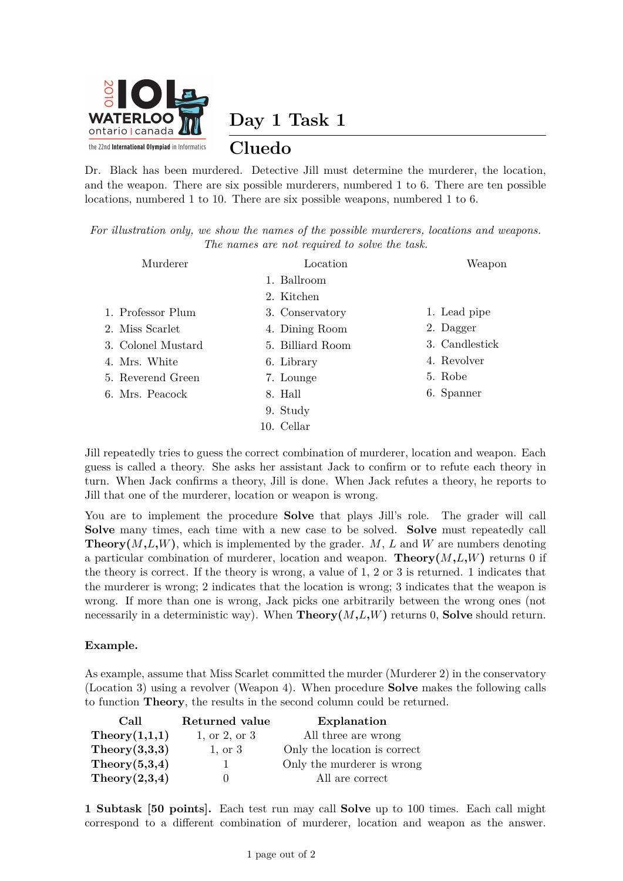

**Day 1 Task 1**

## **Cluedo**

Dr. Black has been murdered. Detective Jill must determine the murderer, the location, and the weapon. There are six possible murderers, numbered 1 to 6. There are ten possible locations, numbered 1 to 10. There are six possible weapons, numbered 1 to 6.

*For illustration only, we show the names of the possible murderers, locations and weapons. The names are not required to solve the task.*

| Murderer           | Location         | Weapon         |
|--------------------|------------------|----------------|
|                    | 1. Ballroom      |                |
|                    | 2. Kitchen       |                |
| 1. Professor Plum  | 3. Conservatory  | 1. Lead pipe   |
| 2. Miss Scarlet    | 4. Dining Room   | 2. Dagger      |
| 3. Colonel Mustard | 5. Billiard Room | 3. Candlestick |
| 4. Mrs. White      | 6. Library       | 4. Revolver    |
| 5. Reverend Green  | 7. Lounge        | 5. Robe        |
| 6. Mrs. Peacock    | 8. Hall          | 6. Spanner     |
|                    | 9. Study         |                |
|                    | 10. Cellar       |                |

Jill repeatedly tries to guess the correct combination of murderer, location and weapon. Each guess is called a theory. She asks her assistant Jack to confirm or to refute each theory in turn. When Jack confirms a theory, Jill is done. When Jack refutes a theory, he reports to Jill that one of the murderer, location or weapon is wrong.

You are to implement the procedure **Solve** that plays Jill's role. The grader will call **Solve** many times, each time with a new case to be solved. **Solve** must repeatedly call **Theory** $(M,L,W)$ , which is implemented by the grader. *M*, *L* and *W* are numbers denoting a particular combination of murderer, location and weapon. **Theory** $(M, L, W)$  returns 0 if the theory is correct. If the theory is wrong, a value of 1, 2 or 3 is returned. 1 indicates that the murderer is wrong; 2 indicates that the location is wrong; 3 indicates that the weapon is wrong. If more than one is wrong, Jack picks one arbitrarily between the wrong ones (not necessarily in a deterministic way). When  $\textbf{Theory}(M,L,W)$  returns 0, **Solve** should return.

## **Example.**

As example, assume that Miss Scarlet committed the murder (Murderer 2) in the conservatory (Location 3) using a revolver (Weapon 4). When procedure **Solve** makes the following calls to function **Theory**, the results in the second column could be returned.

| Call          | Returned value | Explanation                  |
|---------------|----------------|------------------------------|
| Theory(1,1,1) | 1, or 2, or 3  | All three are wrong          |
| Theory(3,3,3) | $1,$ or $3$    | Only the location is correct |
| Theory(5,3,4) |                | Only the murderer is wrong   |
| Theory(2,3,4) |                | All are correct              |

**1 Subtask [50 points].** Each test run may call **Solve** up to 100 times. Each call might correspond to a different combination of murderer, location and weapon as the answer.